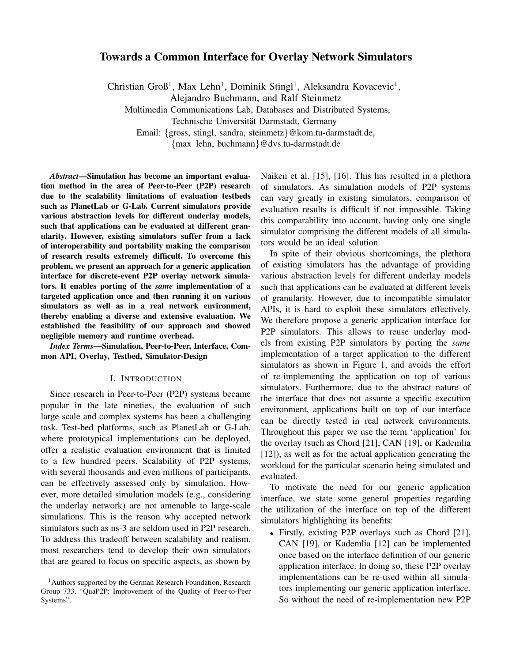# Towards a Common Interface for Overlay Network Simulators

Christian Groß<sup>1</sup>, Max Lehn<sup>1</sup>, Dominik Stingl<sup>1</sup>, Aleksandra Kovacevic<sup>1</sup>,

Alejandro Buchmann, and Ralf Steinmetz

Multimedia Communications Lab, Databases and Distributed Systems,

Technische Universität Darmstadt, Germany

Email: {gross, stingl, sandra, steinmetz}@kom.tu-darmstadt.de,

{max lehn, buchmann}@dvs.tu-darmstadt.de

*Abstract*—Simulation has become an important evaluation method in the area of Peer-to-Peer (P2P) research due to the scalability limitations of evaluation testbeds such as PlanetLab or G-Lab. Current simulators provide various abstraction levels for different underlay models, such that applications can be evaluated at different granularity. However, existing simulators suffer from a lack of interoperability and portability making the comparison of research results extremely difficult. To overcome this problem, we present an approach for a generic application interface for discrete-event P2P overlay network simulators. It enables porting of the *same* implementation of a targeted application once and then running it on various simulators as well as in a real network environment, thereby enabling a diverse and extensive evaluation. We established the feasibility of our approach and showed negligible memory and runtime overhead.

*Index Terms*—Simulation, Peer-to-Peer, Interface, Common API, Overlay, Testbed, Simulator-Design

#### I. INTRODUCTION

Since research in Peer-to-Peer (P2P) systems became popular in the late nineties, the evaluation of such large scale and complex systems has been a challenging task. Test-bed platforms, such as PlanetLab or G-Lab, where prototypical implementations can be deployed, offer a realistic evaluation environment that is limited to a few hundred peers. Scalability of P2P systems, with several thousands and even millions of participants, can be effectively assessed only by simulation. However, more detailed simulation models (e.g., considering the underlay network) are not amenable to large-scale simulations. This is the reason why accepted network simulators such as ns-3 are seldom used in P2P research. To address this tradeoff between scalability and realism, most researchers tend to develop their own simulators that are geared to focus on specific aspects, as shown by Naiken et al. [15], [16]. This has resulted in a plethora of simulators. As simulation models of P2P systems can vary greatly in existing simulators, comparison of evaluation results is difficult if not impossible. Taking this comparability into account, having only one single simulator comprising the different models of all simulators would be an ideal solution.

In spite of their obvious shortcomings, the plethora of existing simulators has the advantage of providing various abstraction levels for different underlay models such that applications can be evaluated at different levels of granularity. However, due to incompatible simulator APIs, it is hard to exploit these simulators effectively. We therefore propose a generic application interface for P2P simulators. This allows to reuse underlay models from existing P2P simulators by porting the *same* implementation of a target application to the different simulators as shown in Figure 1, and avoids the effort of re-implementing the application on top of various simulators. Furthermore, due to the abstract nature of the interface that does not assume a specific execution environment, applications built on top of our interface can be directly tested in real network environments. Throughout this paper we use the term 'application' for the overlay (such as Chord [21], CAN [19], or Kademlia [12]), as well as for the actual application generating the workload for the particular scenario being simulated and evaluated.

To motivate the need for our generic application interface, we state some general properties regarding the utilization of the interface on top of the different simulators highlighting its benefits:

• Firstly, existing P2P overlays such as Chord [21], CAN [19], or Kademlia [12] can be implemented once based on the interface definition of our generic application interface. In doing so, these P2P overlay implementations can be re-used within all simulators implementing our generic application interface. So without the need of re-implementation new P2P

<sup>&</sup>lt;sup>1</sup> Authors supported by the German Research Foundation, Research Group 733, "QuaP2P: Improvement of the Quality of Peer-to-Peer Systems".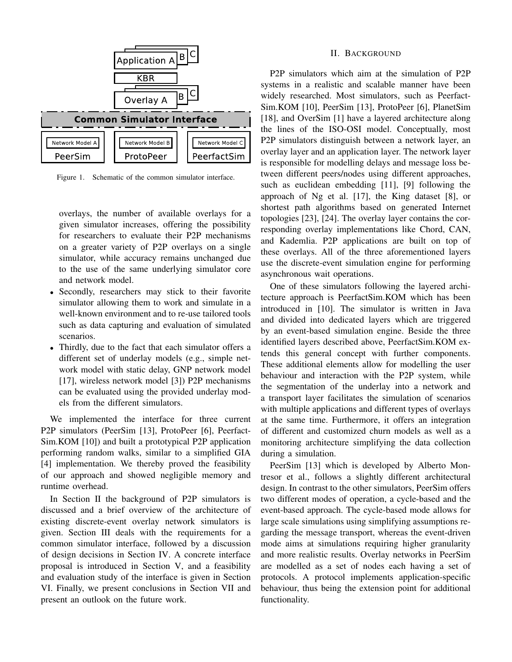

Figure 1. Schematic of the common simulator interface.

overlays, the number of available overlays for a given simulator increases, offering the possibility for researchers to evaluate their P2P mechanisms on a greater variety of P2P overlays on a single simulator, while accuracy remains unchanged due to the use of the same underlying simulator core and network model.

- Secondly, researchers may stick to their favorite simulator allowing them to work and simulate in a well-known environment and to re-use tailored tools such as data capturing and evaluation of simulated scenarios.
- Thirdly, due to the fact that each simulator offers a different set of underlay models (e.g., simple network model with static delay, GNP network model [17], wireless network model [3]) P2P mechanisms can be evaluated using the provided underlay models from the different simulators.

We implemented the interface for three current P2P simulators (PeerSim [13], ProtoPeer [6], Peerfact-Sim.KOM [10]) and built a prototypical P2P application performing random walks, similar to a simplified GIA [4] implementation. We thereby proved the feasibility of our approach and showed negligible memory and runtime overhead.

In Section II the background of P2P simulators is discussed and a brief overview of the architecture of existing discrete-event overlay network simulators is given. Section III deals with the requirements for a common simulator interface, followed by a discussion of design decisions in Section IV. A concrete interface proposal is introduced in Section V, and a feasibility and evaluation study of the interface is given in Section VI. Finally, we present conclusions in Section VII and present an outlook on the future work.

#### II. BACKGROUND

P2P simulators which aim at the simulation of P2P systems in a realistic and scalable manner have been widely researched. Most simulators, such as Peerfact-Sim.KOM [10], PeerSim [13], ProtoPeer [6], PlanetSim [18], and OverSim [1] have a layered architecture along the lines of the ISO-OSI model. Conceptually, most P2P simulators distinguish between a network layer, an overlay layer and an application layer. The network layer is responsible for modelling delays and message loss between different peers/nodes using different approaches, such as euclidean embedding [11], [9] following the approach of Ng et al. [17], the King dataset [8], or shortest path algorithms based on generated Internet topologies [23], [24]. The overlay layer contains the corresponding overlay implementations like Chord, CAN, and Kademlia. P2P applications are built on top of these overlays. All of the three aforementioned layers use the discrete-event simulation engine for performing asynchronous wait operations.

One of these simulators following the layered architecture approach is PeerfactSim.KOM which has been introduced in [10]. The simulator is written in Java and divided into dedicated layers which are triggered by an event-based simulation engine. Beside the three identified layers described above, PeerfactSim.KOM extends this general concept with further components. These additional elements allow for modelling the user behaviour and interaction with the P2P system, while the segmentation of the underlay into a network and a transport layer facilitates the simulation of scenarios with multiple applications and different types of overlays at the same time. Furthermore, it offers an integration of different and customized churn models as well as a monitoring architecture simplifying the data collection during a simulation.

PeerSim [13] which is developed by Alberto Montresor et al., follows a slightly different architectural design. In contrast to the other simulators, PeerSim offers two different modes of operation, a cycle-based and the event-based approach. The cycle-based mode allows for large scale simulations using simplifying assumptions regarding the message transport, whereas the event-driven mode aims at simulations requiring higher granularity and more realistic results. Overlay networks in PeerSim are modelled as a set of nodes each having a set of protocols. A protocol implements application-specific behaviour, thus being the extension point for additional functionality.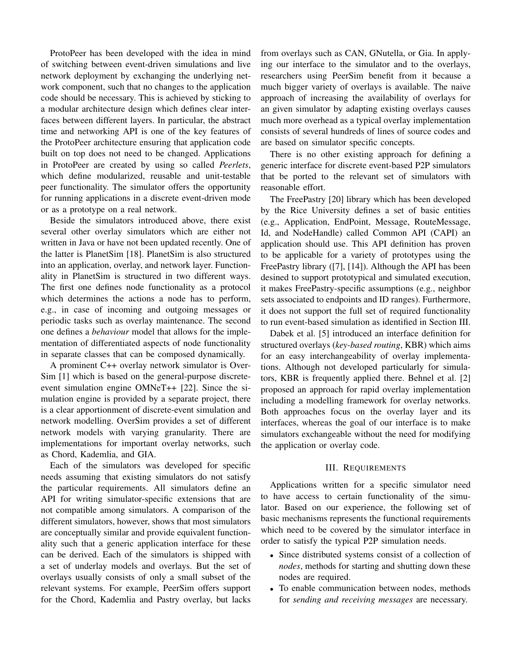ProtoPeer has been developed with the idea in mind of switching between event-driven simulations and live network deployment by exchanging the underlying network component, such that no changes to the application code should be necessary. This is achieved by sticking to a modular architecture design which defines clear interfaces between different layers. In particular, the abstract time and networking API is one of the key features of the ProtoPeer architecture ensuring that application code built on top does not need to be changed. Applications in ProtoPeer are created by using so called *Peerlets*, which define modularized, reusable and unit-testable peer functionality. The simulator offers the opportunity for running applications in a discrete event-driven mode or as a prototype on a real network.

Beside the simulators introduced above, there exist several other overlay simulators which are either not written in Java or have not been updated recently. One of the latter is PlanetSim [18]. PlanetSim is also structured into an application, overlay, and network layer. Functionality in PlanetSim is structured in two different ways. The first one defines node functionality as a protocol which determines the actions a node has to perform, e.g., in case of incoming and outgoing messages or periodic tasks such as overlay maintenance. The second one defines a *behaviour* model that allows for the implementation of differentiated aspects of node functionality in separate classes that can be composed dynamically.

A prominent C++ overlay network simulator is Over-Sim [1] which is based on the general-purpose discreteevent simulation engine OMNeT++ [22]. Since the simulation engine is provided by a separate project, there is a clear apportionment of discrete-event simulation and network modelling. OverSim provides a set of different network models with varying granularity. There are implementations for important overlay networks, such as Chord, Kademlia, and GIA.

Each of the simulators was developed for specific needs assuming that existing simulators do not satisfy the particular requirements. All simulators define an API for writing simulator-specific extensions that are not compatible among simulators. A comparison of the different simulators, however, shows that most simulators are conceptually similar and provide equivalent functionality such that a generic application interface for these can be derived. Each of the simulators is shipped with a set of underlay models and overlays. But the set of overlays usually consists of only a small subset of the relevant systems. For example, PeerSim offers support for the Chord, Kademlia and Pastry overlay, but lacks from overlays such as CAN, GNutella, or Gia. In applying our interface to the simulator and to the overlays, researchers using PeerSim benefit from it because a much bigger variety of overlays is available. The naive approach of increasing the availability of overlays for an given simulator by adapting existing overlays causes much more overhead as a typical overlay implementation consists of several hundreds of lines of source codes and are based on simulator specific concepts.

There is no other existing approach for defining a generic interface for discrete event-based P2P simulators that be ported to the relevant set of simulators with reasonable effort.

The FreePastry [20] library which has been developed by the Rice University defines a set of basic entities (e.g., Application, EndPoint, Message, RouteMessage, Id, and NodeHandle) called Common API (CAPI) an application should use. This API definition has proven to be applicable for a variety of prototypes using the FreePastry library ([7], [14]). Although the API has been desined to support prototypical and simulated execution, it makes FreePastry-specific assumptions (e.g., neighbor sets associated to endpoints and ID ranges). Furthermore, it does not support the full set of required functionality to run event-based simulation as identified in Section III.

Dabek et al. [5] introduced an interface definition for structured overlays (*key-based routing*, KBR) which aims for an easy interchangeability of overlay implementations. Although not developed particularly for simulators, KBR is frequently applied there. Behnel et al. [2] proposed an approach for rapid overlay implementation including a modelling framework for overlay networks. Both approaches focus on the overlay layer and its interfaces, whereas the goal of our interface is to make simulators exchangeable without the need for modifying the application or overlay code.

#### III. REQUIREMENTS

Applications written for a specific simulator need to have access to certain functionality of the simulator. Based on our experience, the following set of basic mechanisms represents the functional requirements which need to be covered by the simulator interface in order to satisfy the typical P2P simulation needs.

- Since distributed systems consist of a collection of *nodes*, methods for starting and shutting down these nodes are required.
- To enable communication between nodes, methods for *sending and receiving messages* are necessary.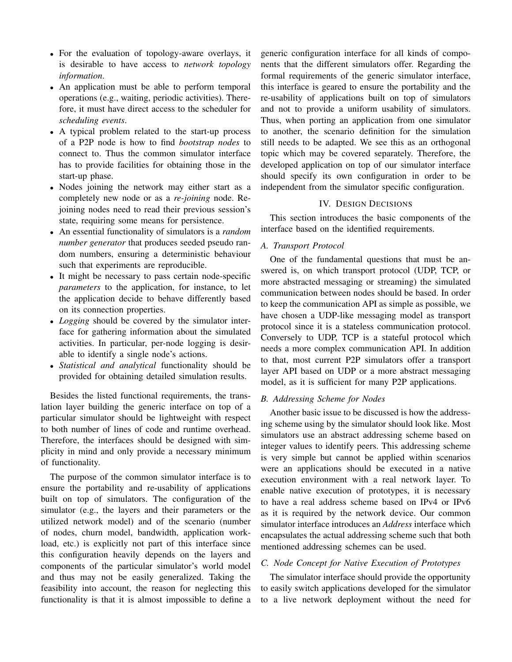- For the evaluation of topology-aware overlays, it is desirable to have access to *network topology information*.
- An application must be able to perform temporal operations (e.g., waiting, periodic activities). Therefore, it must have direct access to the scheduler for *scheduling events*.
- A typical problem related to the start-up process of a P2P node is how to find *bootstrap nodes* to connect to. Thus the common simulator interface has to provide facilities for obtaining those in the start-up phase.
- Nodes joining the network may either start as a completely new node or as a *re-joining* node. Rejoining nodes need to read their previous session's state, requiring some means for persistence.
- An essential functionality of simulators is a *random number generator* that produces seeded pseudo random numbers, ensuring a deterministic behaviour such that experiments are reproducible.
- It might be necessary to pass certain node-specific *parameters* to the application, for instance, to let the application decide to behave differently based on its connection properties.
- *Logging* should be covered by the simulator interface for gathering information about the simulated activities. In particular, per-node logging is desirable to identify a single node's actions.
- *Statistical and analytical* functionality should be provided for obtaining detailed simulation results.

Besides the listed functional requirements, the translation layer building the generic interface on top of a particular simulator should be lightweight with respect to both number of lines of code and runtime overhead. Therefore, the interfaces should be designed with simplicity in mind and only provide a necessary minimum of functionality.

The purpose of the common simulator interface is to ensure the portability and re-usability of applications built on top of simulators. The configuration of the simulator (e.g., the layers and their parameters or the utilized network model) and of the scenario (number of nodes, churn model, bandwidth, application workload, etc.) is explicitly not part of this interface since this configuration heavily depends on the layers and components of the particular simulator's world model and thus may not be easily generalized. Taking the feasibility into account, the reason for neglecting this functionality is that it is almost impossible to define a

generic configuration interface for all kinds of components that the different simulators offer. Regarding the formal requirements of the generic simulator interface, this interface is geared to ensure the portability and the re-usability of applications built on top of simulators and not to provide a uniform usability of simulators. Thus, when porting an application from one simulator to another, the scenario definition for the simulation still needs to be adapted. We see this as an orthogonal topic which may be covered separately. Therefore, the developed application on top of our simulator interface should specify its own configuration in order to be independent from the simulator specific configuration.

## IV. DESIGN DECISIONS

This section introduces the basic components of the interface based on the identified requirements.

#### *A. Transport Protocol*

One of the fundamental questions that must be answered is, on which transport protocol (UDP, TCP, or more abstracted messaging or streaming) the simulated communication between nodes should be based. In order to keep the communication API as simple as possible, we have chosen a UDP-like messaging model as transport protocol since it is a stateless communication protocol. Conversely to UDP, TCP is a stateful protocol which needs a more complex communication API. In addition to that, most current P2P simulators offer a transport layer API based on UDP or a more abstract messaging model, as it is sufficient for many P2P applications.

## *B. Addressing Scheme for Nodes*

Another basic issue to be discussed is how the addressing scheme using by the simulator should look like. Most simulators use an abstract addressing scheme based on integer values to identify peers. This addressing scheme is very simple but cannot be applied within scenarios were an applications should be executed in a native execution environment with a real network layer. To enable native execution of prototypes, it is necessary to have a real address scheme based on IPv4 or IPv6 as it is required by the network device. Our common simulator interface introduces an *Address* interface which encapsulates the actual addressing scheme such that both mentioned addressing schemes can be used.

## *C. Node Concept for Native Execution of Prototypes*

The simulator interface should provide the opportunity to easily switch applications developed for the simulator to a live network deployment without the need for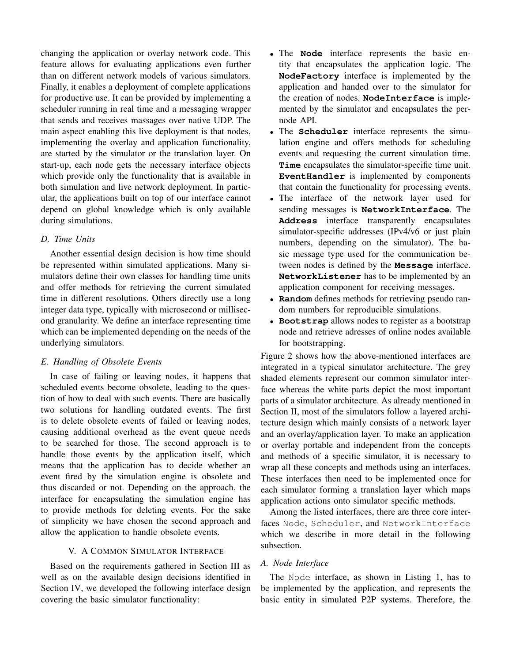changing the application or overlay network code. This feature allows for evaluating applications even further than on different network models of various simulators. Finally, it enables a deployment of complete applications for productive use. It can be provided by implementing a scheduler running in real time and a messaging wrapper that sends and receives massages over native UDP. The main aspect enabling this live deployment is that nodes, implementing the overlay and application functionality, are started by the simulator or the translation layer. On start-up, each node gets the necessary interface objects which provide only the functionality that is available in both simulation and live network deployment. In particular, the applications built on top of our interface cannot depend on global knowledge which is only available during simulations.

## *D. Time Units*

Another essential design decision is how time should be represented within simulated applications. Many simulators define their own classes for handling time units and offer methods for retrieving the current simulated time in different resolutions. Others directly use a long integer data type, typically with microsecond or millisecond granularity. We define an interface representing time which can be implemented depending on the needs of the underlying simulators.

## *E. Handling of Obsolete Events*

In case of failing or leaving nodes, it happens that scheduled events become obsolete, leading to the question of how to deal with such events. There are basically two solutions for handling outdated events. The first is to delete obsolete events of failed or leaving nodes, causing additional overhead as the event queue needs to be searched for those. The second approach is to handle those events by the application itself, which means that the application has to decide whether an event fired by the simulation engine is obsolete and thus discarded or not. Depending on the approach, the interface for encapsulating the simulation engine has to provide methods for deleting events. For the sake of simplicity we have chosen the second approach and allow the application to handle obsolete events.

## V. A COMMON SIMULATOR INTERFACE

Based on the requirements gathered in Section III as well as on the available design decisions identified in Section IV, we developed the following interface design covering the basic simulator functionality:

- The **Node** interface represents the basic entity that encapsulates the application logic. The **NodeFactory** interface is implemented by the application and handed over to the simulator for the creation of nodes. **NodeInterface** is implemented by the simulator and encapsulates the pernode API.
- The **Scheduler** interface represents the simulation engine and offers methods for scheduling events and requesting the current simulation time. **Time** encapsulates the simulator-specific time unit. **EventHandler** is implemented by components that contain the functionality for processing events.
- The interface of the network layer used for sending messages is **NetworkInterface**. The **Address** interface transparently encapsulates simulator-specific addresses (IPv4/v6 or just plain numbers, depending on the simulator). The basic message type used for the communication between nodes is defined by the **Message** interface. **NetworkListener** has to be implemented by an application component for receiving messages.
- **Random** defines methods for retrieving pseudo random numbers for reproducible simulations.
- **Bootstrap** allows nodes to register as a bootstrap node and retrieve adresses of online nodes available for bootstrapping.

Figure 2 shows how the above-mentioned interfaces are integrated in a typical simulator architecture. The grey shaded elements represent our common simulator interface whereas the white parts depict the most important parts of a simulator architecture. As already mentioned in Section II, most of the simulators follow a layered architecture design which mainly consists of a network layer and an overlay/application layer. To make an application or overlay portable and independent from the concepts and methods of a specific simulator, it is necessary to wrap all these concepts and methods using an interfaces. These interfaces then need to be implemented once for each simulator forming a translation layer which maps application actions onto simulator specific methods.

Among the listed interfaces, there are three core interfaces Node, Scheduler, and NetworkInterface which we describe in more detail in the following subsection.

# *A. Node Interface*

The Node interface, as shown in Listing 1, has to be implemented by the application, and represents the basic entity in simulated P2P systems. Therefore, the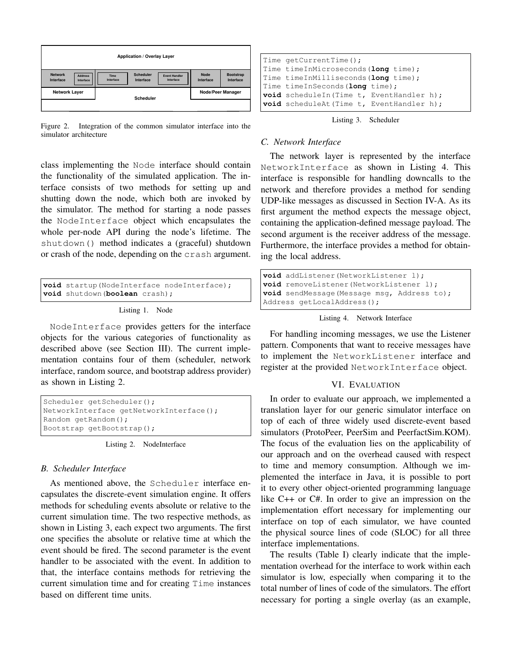

Figure 2. Integration of the common simulator interface into the simulator architecture

class implementing the Node interface should contain the functionality of the simulated application. The interface consists of two methods for setting up and shutting down the node, which both are invoked by the simulator. The method for starting a node passes the NodeInterface object which encapsulates the whole per-node API during the node's lifetime. The shutdown() method indicates a (graceful) shutdown or crash of the node, depending on the crash argument.

```
void startup(NodeInterface nodeInterface);
void shutdown(boolean crash);
```
Listing 1. Node

NodeInterface provides getters for the interface objects for the various categories of functionality as described above (see Section III). The current implementation contains four of them (scheduler, network interface, random source, and bootstrap address provider) as shown in Listing 2.

```
Scheduler getScheduler();
NetworkInterface getNetworkInterface();
Random getRandom();
Bootstrap getBootstrap();
```
Listing 2. NodeInterface

## *B. Scheduler Interface*

As mentioned above, the Scheduler interface encapsulates the discrete-event simulation engine. It offers methods for scheduling events absolute or relative to the current simulation time. The two respective methods, as shown in Listing 3, each expect two arguments. The first one specifies the absolute or relative time at which the event should be fired. The second parameter is the event handler to be associated with the event. In addition to that, the interface contains methods for retrieving the current simulation time and for creating Time instances based on different time units.

```
Time getCurrentTime();
Time timeInMicroseconds(long time);
Time timeInMilliseconds(long time);
Time timeInSeconds(long time);
void scheduleIn(Time t, EventHandler h);
void scheduleAt(Time t, EventHandler h);
```
Listing 3. Scheduler

# *C. Network Interface*

The network layer is represented by the interface NetworkInterface as shown in Listing 4. This interface is responsible for handling downcalls to the network and therefore provides a method for sending UDP-like messages as discussed in Section IV-A. As its first argument the method expects the message object, containing the application-defined message payload. The second argument is the receiver address of the message. Furthermore, the interface provides a method for obtaining the local address.

```
void addListener(NetworkListener l);
void removeListener(NetworkListener l);
void sendMessage(Message msg, Address to);
Address getLocalAddress();
```
Listing 4. Network Interface

For handling incoming messages, we use the Listener pattern. Components that want to receive messages have to implement the NetworkListener interface and register at the provided NetworkInterface object.

## VI. EVALUATION

In order to evaluate our approach, we implemented a translation layer for our generic simulator interface on top of each of three widely used discrete-event based simulators (ProtoPeer, PeerSim and PeerfactSim.KOM). The focus of the evaluation lies on the applicability of our approach and on the overhead caused with respect to time and memory consumption. Although we implemented the interface in Java, it is possible to port it to every other object-oriented programming language like C++ or C#. In order to give an impression on the implementation effort necessary for implementing our interface on top of each simulator, we have counted the physical source lines of code (SLOC) for all three interface implementations.

The results (Table I) clearly indicate that the implementation overhead for the interface to work within each simulator is low, especially when comparing it to the total number of lines of code of the simulators. The effort necessary for porting a single overlay (as an example,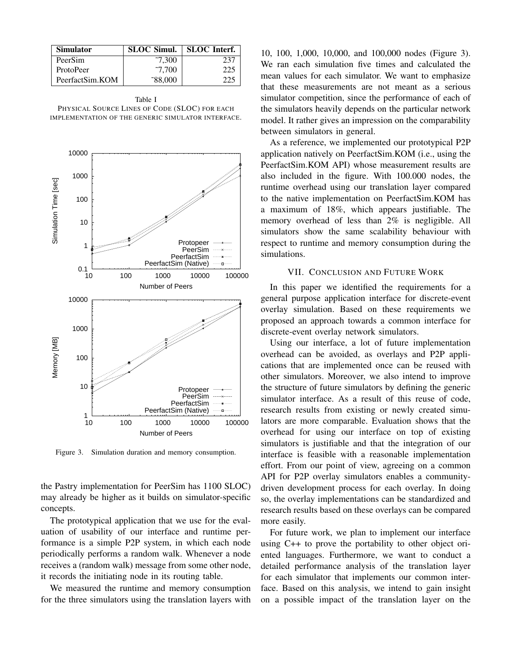| <b>Simulator</b> | <b>SLOC Simul.</b> | <b>SLOC</b> Interf. |
|------------------|--------------------|---------------------|
| PeerSim          | $\tilde{C}$ 7.300  | 237                 |
| ProtoPeer        | $\sim 7.700$       | 225                 |
| PeerfactSim.KOM  | $\tilde{88.000}$   | 225                 |

Table I PHYSICAL SOURCE LINES OF CODE (SLOC) FOR EACH IMPLEMENTATION OF THE GENERIC SIMULATOR INTERFACE.



Figure 3. Simulation duration and memory consumption.

the Pastry implementation for PeerSim has 1100 SLOC) may already be higher as it builds on simulator-specific concepts.

The prototypical application that we use for the evaluation of usability of our interface and runtime performance is a simple P2P system, in which each node periodically performs a random walk. Whenever a node receives a (random walk) message from some other node, it records the initiating node in its routing table.

We measured the runtime and memory consumption for the three simulators using the translation layers with

10, 100, 1,000, 10,000, and 100,000 nodes (Figure 3). We ran each simulation five times and calculated the mean values for each simulator. We want to emphasize that these measurements are not meant as a serious simulator competition, since the performance of each of the simulators heavily depends on the particular network model. It rather gives an impression on the comparability between simulators in general.

As a reference, we implemented our prototypical P2P application natively on PeerfactSim.KOM (i.e., using the PeerfactSim.KOM API) whose measurement results are also included in the figure. With 100.000 nodes, the runtime overhead using our translation layer compared to the native implementation on PeerfactSim.KOM has a maximum of 18%, which appears justifiable. The memory overhead of less than 2% is negligible. All simulators show the same scalability behaviour with respect to runtime and memory consumption during the simulations.

## VII. CONCLUSION AND FUTURE WORK

In this paper we identified the requirements for a general purpose application interface for discrete-event overlay simulation. Based on these requirements we proposed an approach towards a common interface for discrete-event overlay network simulators.

Using our interface, a lot of future implementation overhead can be avoided, as overlays and P2P applications that are implemented once can be reused with other simulators. Moreover, we also intend to improve the structure of future simulators by defining the generic simulator interface. As a result of this reuse of code, research results from existing or newly created simulators are more comparable. Evaluation shows that the overhead for using our interface on top of existing simulators is justifiable and that the integration of our interface is feasible with a reasonable implementation effort. From our point of view, agreeing on a common API for P2P overlay simulators enables a communitydriven development process for each overlay. In doing so, the overlay implementations can be standardized and research results based on these overlays can be compared more easily.

For future work, we plan to implement our interface using C++ to prove the portability to other object oriented languages. Furthermore, we want to conduct a detailed performance analysis of the translation layer for each simulator that implements our common interface. Based on this analysis, we intend to gain insight on a possible impact of the translation layer on the